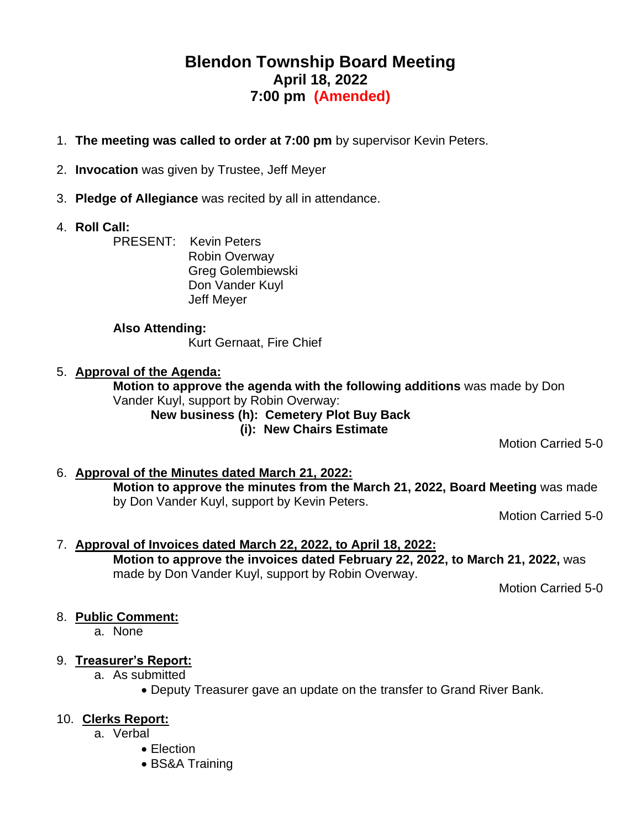# **Blendon Township Board Meeting April 18, 2022 7:00 pm (Amended)**

- 1. **The meeting was called to order at 7:00 pm** by supervisor Kevin Peters.
- 2. **Invocation** was given by Trustee, Jeff Meyer
- 3. **Pledge of Allegiance** was recited by all in attendance.
- 4. **Roll Call:**

PRESENT: Kevin Peters Robin Overway Greg Golembiewski Don Vander Kuyl Jeff Meyer

#### **Also Attending:**

Kurt Gernaat, Fire Chief

#### 5. **Approval of the Agenda:**

**Motion to approve the agenda with the following additions** was made by Don Vander Kuyl, support by Robin Overway:

**New business (h): Cemetery Plot Buy Back (i): New Chairs Estimate**

Motion Carried 5-0

6. **Approval of the Minutes dated March 21, 2022: Motion to approve the minutes from the March 21, 2022, Board Meeting** was made by Don Vander Kuyl, support by Kevin Peters.

Motion Carried 5-0

7. **Approval of Invoices dated March 22, 2022, to April 18, 2022: Motion to approve the invoices dated February 22, 2022, to March 21, 2022,** was made by Don Vander Kuyl, support by Robin Overway.

Motion Carried 5-0

# 8. **Public Comment:**

a. None

#### 9. **Treasurer's Report:**

- a. As submitted
	- Deputy Treasurer gave an update on the transfer to Grand River Bank.

#### 10. **Clerks Report:**

- a. Verbal
	- Election
	- BS&A Training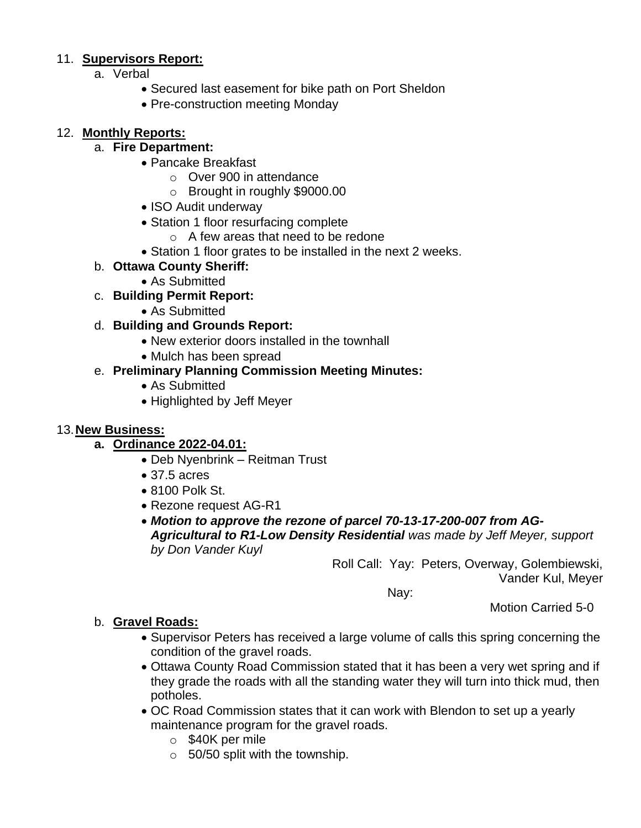# 11. **Supervisors Report:**

- a. Verbal
	- Secured last easement for bike path on Port Sheldon
	- Pre-construction meeting Monday

#### 12. **Monthly Reports:**

#### a. **Fire Department:**

- Pancake Breakfast
	- o Over 900 in attendance
	- o Brought in roughly \$9000.00
- ISO Audit underway
- Station 1 floor resurfacing complete
	- o A few areas that need to be redone
- Station 1 floor grates to be installed in the next 2 weeks.

## b. **Ottawa County Sheriff:**

- As Submitted
- c. **Building Permit Report:**
	- As Submitted
- d. **Building and Grounds Report:**
	- New exterior doors installed in the townhall
	- Mulch has been spread

# e. **Preliminary Planning Commission Meeting Minutes:**

- As Submitted
- Highlighted by Jeff Meyer

#### 13.**New Business:**

#### **a. Ordinance 2022-04.01:**

- Deb Nyenbrink Reitman Trust
- 37.5 acres
- 8100 Polk St.
- Rezone request AG-R1
- *Motion to approve the rezone of parcel 70-13-17-200-007 from AG-Agricultural to R1-Low Density Residential was made by Jeff Meyer, support by Don Vander Kuyl*

Roll Call: Yay: Peters, Overway, Golembiewski, Vander Kul, Meyer

Nay:

Motion Carried 5-0

#### b. **Gravel Roads:**

- Supervisor Peters has received a large volume of calls this spring concerning the condition of the gravel roads.
- Ottawa County Road Commission stated that it has been a very wet spring and if they grade the roads with all the standing water they will turn into thick mud, then potholes.
- OC Road Commission states that it can work with Blendon to set up a yearly maintenance program for the gravel roads.
	- o \$40K per mile
	- $\circ$  50/50 split with the township.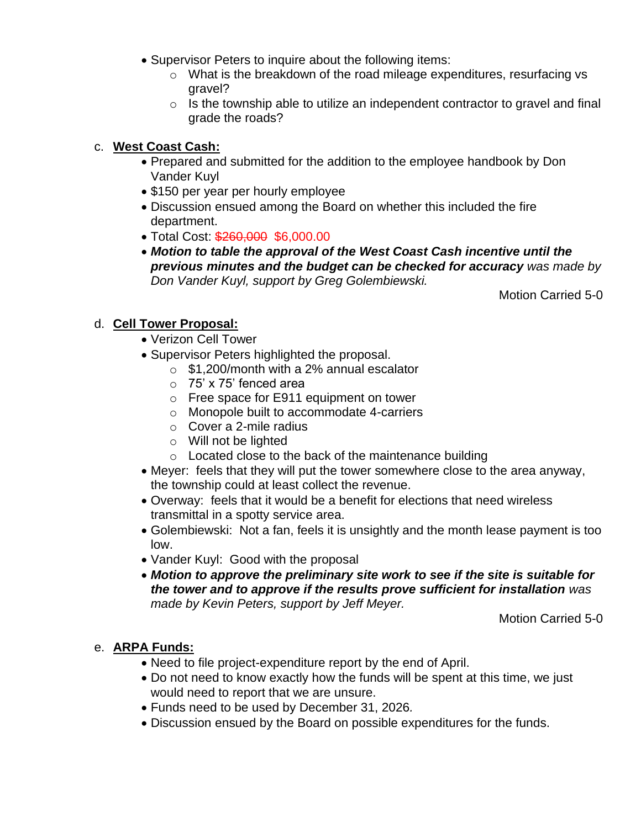- Supervisor Peters to inquire about the following items:
	- $\circ$  What is the breakdown of the road mileage expenditures, resurfacing vs gravel?
	- o Is the township able to utilize an independent contractor to gravel and final grade the roads?

## c. **West Coast Cash:**

- Prepared and submitted for the addition to the employee handbook by Don Vander Kuyl
- \$150 per year per hourly employee
- Discussion ensued among the Board on whether this included the fire department.
- Total Cost: \$260,000 \$6,000.00
- *Motion to table the approval of the West Coast Cash incentive until the previous minutes and the budget can be checked for accuracy was made by Don Vander Kuyl, support by Greg Golembiewski.*

Motion Carried 5-0

## d. **Cell Tower Proposal:**

- Verizon Cell Tower
- Supervisor Peters highlighted the proposal.
	- o \$1,200/month with a 2% annual escalator
	- o 75' x 75' fenced area
	- o Free space for E911 equipment on tower
	- o Monopole built to accommodate 4-carriers
	- o Cover a 2-mile radius
	- o Will not be lighted
	- o Located close to the back of the maintenance building
- Meyer: feels that they will put the tower somewhere close to the area anyway, the township could at least collect the revenue.
- Overway: feels that it would be a benefit for elections that need wireless transmittal in a spotty service area.
- Golembiewski: Not a fan, feels it is unsightly and the month lease payment is too low.
- Vander Kuyl: Good with the proposal
- *Motion to approve the preliminary site work to see if the site is suitable for the tower and to approve if the results prove sufficient for installation was made by Kevin Peters, support by Jeff Meyer.*

Motion Carried 5-0

# e. **ARPA Funds:**

- Need to file project-expenditure report by the end of April.
- Do not need to know exactly how the funds will be spent at this time, we just would need to report that we are unsure.
- Funds need to be used by December 31, 2026*.*
- Discussion ensued by the Board on possible expenditures for the funds.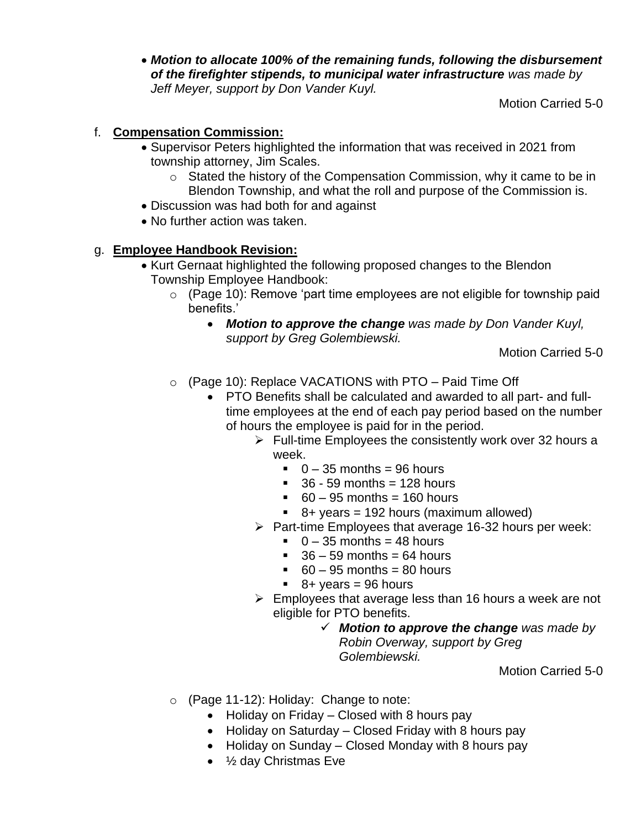• *Motion to allocate 100% of the remaining funds, following the disbursement of the firefighter stipends, to municipal water infrastructure was made by Jeff Meyer, support by Don Vander Kuyl.*

Motion Carried 5-0

# f. **Compensation Commission:**

- Supervisor Peters highlighted the information that was received in 2021 from township attorney, Jim Scales.
	- o Stated the history of the Compensation Commission, why it came to be in Blendon Township, and what the roll and purpose of the Commission is.
- Discussion was had both for and against
- No further action was taken.

# g. **Employee Handbook Revision:**

- Kurt Gernaat highlighted the following proposed changes to the Blendon Township Employee Handbook:
	- o (Page 10): Remove 'part time employees are not eligible for township paid benefits.'
		- *Motion to approve the change was made by Don Vander Kuyl, support by Greg Golembiewski.*

Motion Carried 5-0

o (Page 10): Replace VACATIONS with PTO – Paid Time Off

• PTO Benefits shall be calculated and awarded to all part- and fulltime employees at the end of each pay period based on the number of hours the employee is paid for in the period.

- $\triangleright$  Full-time Employees the consistently work over 32 hours a week.
	- $\overline{0}$  35 months = 96 hours
	- $\overline{.}$  36 59 months = 128 hours
	- $\bullet$  60 95 months = 160 hours
	- $\bullet$  8+ years = 192 hours (maximum allowed)
- ➢ Part-time Employees that average 16-32 hours per week:
	- $\bullet$  0 35 months = 48 hours
	- $\approx$  36 59 months = 64 hours
	- $\overline{60} 95$  months = 80 hours
	- $\bullet$  8+ years = 96 hours
- $\triangleright$  Employees that average less than 16 hours a week are not eligible for PTO benefits.

## ✓ *Motion to approve the change was made by Robin Overway, support by Greg Golembiewski.*

#### Motion Carried 5-0

- o (Page 11-12): Holiday: Change to note:
	- Holiday on Friday Closed with 8 hours pay
	- Holiday on Saturday Closed Friday with 8 hours pay
	- Holiday on Sunday Closed Monday with 8 hours pay
	- ½ day Christmas Eve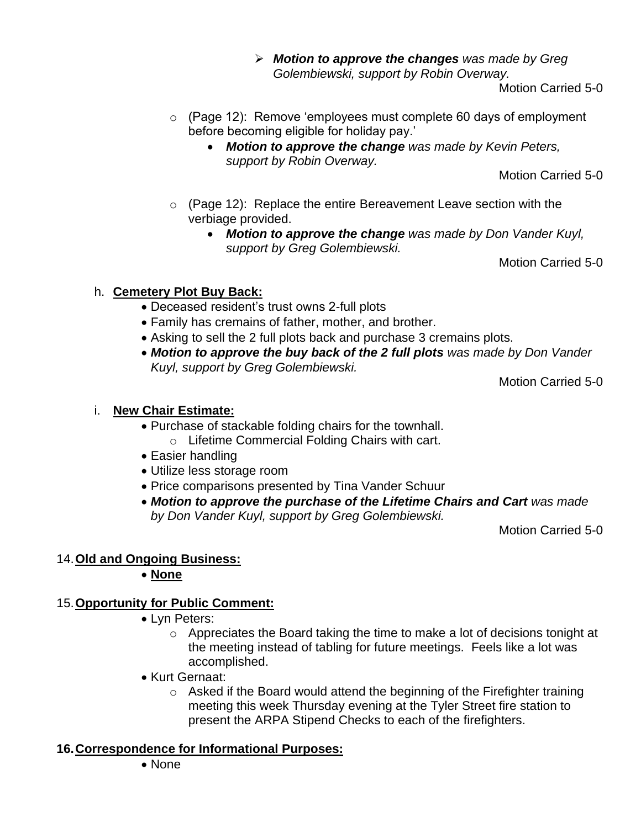➢ *Motion to approve the changes was made by Greg Golembiewski, support by Robin Overway.*

Motion Carried 5-0

- o (Page 12): Remove 'employees must complete 60 days of employment before becoming eligible for holiday pay.'
	- *Motion to approve the change was made by Kevin Peters, support by Robin Overway.*

Motion Carried 5-0

- o (Page 12): Replace the entire Bereavement Leave section with the verbiage provided.
	- *Motion to approve the change was made by Don Vander Kuyl, support by Greg Golembiewski.*

Motion Carried 5-0

# h. **Cemetery Plot Buy Back:**

- Deceased resident's trust owns 2-full plots
- Family has cremains of father, mother, and brother.
- Asking to sell the 2 full plots back and purchase 3 cremains plots.
- *Motion to approve the buy back of the 2 full plots was made by Don Vander Kuyl, support by Greg Golembiewski.*

Motion Carried 5-0

# i. **New Chair Estimate:**

- Purchase of stackable folding chairs for the townhall.
	- o Lifetime Commercial Folding Chairs with cart.
- Easier handling
- Utilize less storage room
- Price comparisons presented by Tina Vander Schuur
- *Motion to approve the purchase of the Lifetime Chairs and Cart was made by Don Vander Kuyl, support by Greg Golembiewski.*

Motion Carried 5-0

# 14.**Old and Ongoing Business:**

# • **None**

# 15.**Opportunity for Public Comment:**

- Lyn Peters:
	- o Appreciates the Board taking the time to make a lot of decisions tonight at the meeting instead of tabling for future meetings. Feels like a lot was accomplished.
- Kurt Gernaat:
	- o Asked if the Board would attend the beginning of the Firefighter training meeting this week Thursday evening at the Tyler Street fire station to present the ARPA Stipend Checks to each of the firefighters.

# **16.Correspondence for Informational Purposes:**

• None